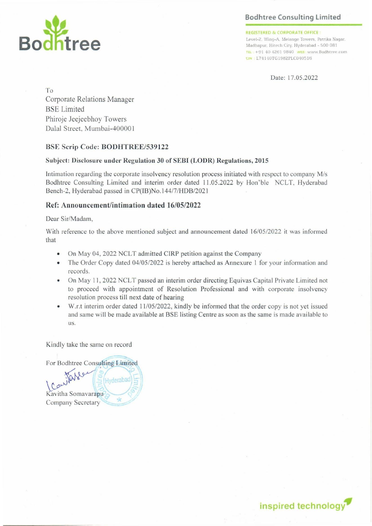## Bodhtree Consulting Limited



REGISTERED & CORPORATE OFFICE

Level-2, Wing-A, Melange Towers, Patrika Nagar Level-2, Wing-A, Melange Towers, Patrika Nat<br>Madhapur, Hitech City, Hyderabad - 500 081 +91 40 4261 9840 wes: www.Bodhtree.com un »L74140TG1982PLC040516

Date: 17.05.2022

To Corporate Relations Manager BSE Limited Phiroje Jeejeebhoy Towers Dalal Street, Mumbai-400001

### BSE Scrip Code: BODHTREE/539122

### Subject: Disclosure under Regulation 30 of SEBI (LODR) Regulations, 2015

Intimation regarding the corporate insolvency resolution process initiated with respect to company M/s Bodhtree Consulting Limited and interim order dated 11.05.2022 by Hon'ble NCLT, Hyderabad Bench-2, Hyderabad passed in CP(IB)No.144/7/HDB/2021

### Ref: Announcement/intimation dated 16/05/2022

### Dear Sir/Madam,

With reference to the above mentioned subject and announcement dated 16/05/2022 it was informed that

- e On May 04, 2022 NCLT admitted CIRP petition against the Company
- The Order Copy dated 04/05/2022 is hereby attached as Annexure 1 for your information and records.
- e On May 11, 2022 NCLT passed an interim order directing Equivas Capital Private Limited not to proceed with appointment of Resolution Professional and with corporate insolvency resolution process till next date of hearing
- e W.r.t interim order dated 11/05/2022, kindly be informed that the order copy is not yet issued and same will be made available at BSE listing Centre as soon as the same is made available to us.

Kindly take the same on record

For Bodhtree Consulting Limited

Kavitha Son<br>Company Se Hyderaba Kavitha Somavarapu Company Secretary